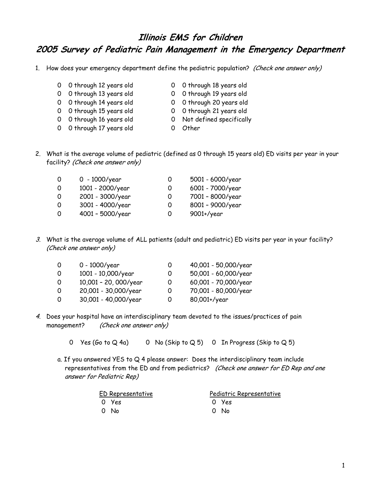## **Illinois EMS for Children 2005 Survey of Pediatric Pain Management in the Emergency Department**

1. How does your emergency department define the pediatric population? (Check one answer only)

- 0 0 through 12 years old 0 0 through 18 years old
- 
- 0 0 through 13 years old 0 0 through 19 years old
- 0 0 through 14 years old 0 0 through 20 years old
- 0 0 through 15 years old 0 0 through 21 years old
	-
- 0 0 through 16 years old 0 Not defined specifically
- 0 0 through 17 years old 0 Other
	-
- 2. What is the average volume of pediatric (defined as 0 through 15 years old) ED visits per year in your facility? (Check one answer only)

| 0 | 0 - $1000$ /year | O | 5001 - 6000/year |
|---|------------------|---|------------------|
| 0 | 1001 - 2000/year | O | 6001 - 7000/year |
| 0 | 2001 - 3000/year | O | 7001 - 8000/year |
| 0 | 3001 - 4000/year | O | 8001 - 9000/year |
| 0 | 4001 - 5000/year | Ο | $9001 +$ /year   |

3. What is the average volume of ALL patients (adult and pediatric) ED visits per year in your facility? (Check one answer only)

| 0  | 0 - 1000/year         |   | 40,001 - 50,000/year |
|----|-----------------------|---|----------------------|
| 0  | 1001 - 10,000/year    |   | 50,001 - 60,000/year |
| -0 | 10,001 - 20, 000/year | 0 | 60,001 - 70,000/year |
| 0  | 20,001 - 30,000/year  | O | 70,001 - 80,000/year |
| 0  | 30,001 - 40,000/year  | O | 80,001+/year         |

- 4. Does your hospital have an interdisciplinary team devoted to the issues/practices of pain management? (Check one answer only)
	- 0 Yes (Go to  $Q$  4a) 0 No (Skip to  $Q$  5) 0 In Progress (Skip to  $Q$  5)
	- a. If you answered YES to Q 4 please answer: Does the interdisciplinary team include representatives from the ED and from pediatrics? (Check one answer for ED Rep and one answer for Pediatric Rep)

| ED Representative |       | Pediatric Representative |  |  |
|-------------------|-------|--------------------------|--|--|
|                   | O Yes | O Yes                    |  |  |
|                   | O No  | 0 No                     |  |  |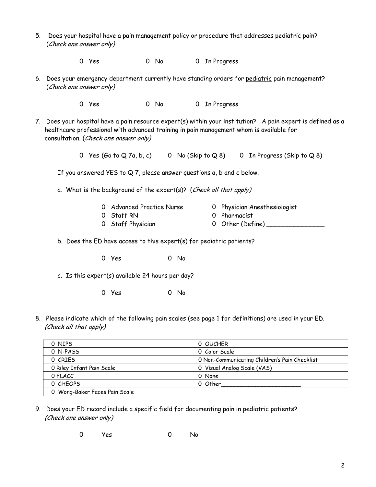- 5. Does your hospital have a pain management policy or procedure that addresses pediatric pain? (Check one answer only)
	- 0 Yes 0 No 0 In Progress
- 6. Does your emergency department currently have standing orders for pediatric pain management? (Check one answer only)
	- 0 Yes 0 No 0 In Progress
- 7. Does your hospital have a pain resource expert(s) within your institution? A pain expert is defined as a healthcare professional with advanced training in pain management whom is available for consultation. (Check one answer only)
	- 0 Yes (Go to Q 7a, b, c) 0 No (Skip to Q 8) 0 In Progress (Skip to Q 8)

If you answered YES to Q 7, please answer questions a, b and c below.

a. What is the background of the expert(s)? (Check all that apply)

| 0 Advanced Practice Nurse | 0 Physician Anesthesiologist |
|---------------------------|------------------------------|
| 0 Staff RN                | 0 Pharmacist                 |
| O Staff Physician         | 0 Other (Define)             |

- b. Does the ED have access to this expert(s) for pediatric patients?
	- 0 Yes 0 No
- c. Is this expert(s) available 24 hours per day?
	- 0 Yes 0 No
- 8. Please indicate which of the following pain scales (see page 1 for definitions) are used in your ED. (Check all that apply)

| 0 NIPS                        | 0 OUCHER                                      |
|-------------------------------|-----------------------------------------------|
| 0 N-PASS                      | 0 Color Scale                                 |
| 0 CRIES                       | O Non-Communicating Children's Pain Checklist |
| 0 Riley Infant Pain Scale     | 0 Visual Analog Scale (VAS)                   |
| O FLACC                       | 0 None                                        |
| O CHEOPS                      | 0 Other                                       |
| 0 Wong-Baker Faces Pain Scale |                                               |

- 9. Does your ED record include a specific field for documenting pain in pediatric patients? (Check one answer only)
	- 0 Yes 0 No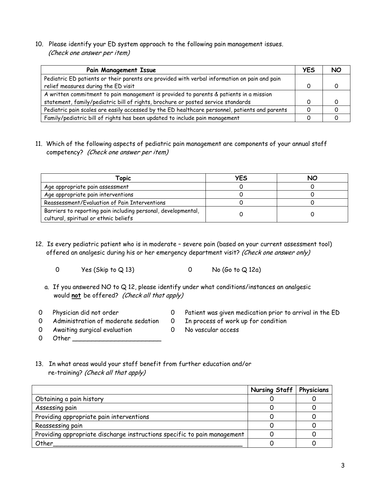10. Please identify your ED system approach to the following pain management issues. (Check one answer per item)

| <b>Pain Management Issue</b>                                                                   | <b>YES</b> |  |
|------------------------------------------------------------------------------------------------|------------|--|
| Pediatric ED patients or their parents are provided with verbal information on pain and pain   |            |  |
| relief measures during the ED visit                                                            |            |  |
| A written commitment to pain management is provided to parents & patients in a mission         |            |  |
| statement, family/pediatric bill of rights, brochure or posted service standards               |            |  |
| Pediatric pain scales are easily accessed by the ED healthcare personnel, patients and parents |            |  |
| Family/pediatric bill of rights has been updated to include pain management                    |            |  |

11. Which of the following aspects of pediatric pain management are components of your annual staff competency? (Check one answer per item)

| Topic                                                                                                  | YES | NO |
|--------------------------------------------------------------------------------------------------------|-----|----|
| Age appropriate pain assessment                                                                        |     |    |
| Age appropriate pain interventions                                                                     |     |    |
| Reassessment/Evaluation of Pain Interventions                                                          |     |    |
| Barriers to reporting pain including personal, developmental,<br>cultural, spiritual or ethnic beliefs |     |    |

- 12. Is every pediatric patient who is in moderate severe pain (based on your current assessment tool) offered an analgesic during his or her emergency department visit? (Check one answer only)
	- 0 Yes (Skip to Q 13) 0 No (Go to Q 12a)
	- a. If you answered NO to Q 12, please identify under what conditions/instances an analgesic would **not** be offered? (Check all that apply)
- 
- 0 Physician did not order 0 Patient was given medication prior to arrival in the ED
- 0 Administration of moderate sedation 0 In process of work up for condition
- 0 Awaiting surgical evaluation 0 No vascular access 0 Other \_\_\_\_\_\_\_\_\_\_\_\_\_\_\_\_\_\_\_\_\_\_\_
- -
- 13. In what areas would your staff benefit from further education and/or

re-training? (Check all that apply)

|                                                                          | Nursing Staff   Physicians |  |
|--------------------------------------------------------------------------|----------------------------|--|
| Obtaining a pain history                                                 |                            |  |
| Assessing pain                                                           |                            |  |
| Providing appropriate pain interventions                                 |                            |  |
| Reassessing pain                                                         |                            |  |
| Providing appropriate discharge instructions specific to pain management |                            |  |
| Other                                                                    |                            |  |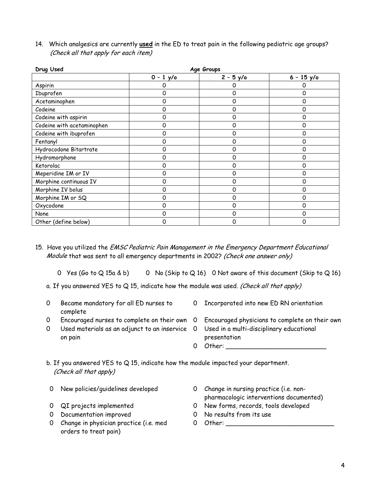| Drug Used                  | Age Groups  |            |              |  |
|----------------------------|-------------|------------|--------------|--|
|                            | $0 - 1$ y/o | $2 - 5y/c$ | $6 - 15$ y/o |  |
| Aspirin                    |             |            | 0            |  |
| Ibuprofen                  | 0           | 0          | 0            |  |
| Acetaminophen              | 0           | 0          | 0            |  |
| Codeine                    | 0           | 0          | 0            |  |
| Codeine with aspirin       | 0           | 0          | 0            |  |
| Codeine with acetaminophen | 0           | 0          | 0            |  |
| Codeine with ibuprofen     | 0           | 0          | 0            |  |
| Fentanyl                   | 0           | 0          | 0            |  |
| Hydrocodone Bitartrate     | 0           | 0          | 0            |  |
| Hydromorphone              | 0           | 0          | 0            |  |
| Ketorolac                  | 0           | Ω          | 0            |  |
| Meperidine IM or IV        | 0           | 0          | 0            |  |
| Morphine continuous IV     | 0           | 0          | 0            |  |
| Morphine IV bolus          | 0           | 0          | 0            |  |
| Morphine IM or SQ          | 0           | 0          | 0            |  |
| Oxycodone                  | 0           | 0          | 0            |  |
| None                       | ი           | 0          | 0            |  |
| Other (define below)       | 0           | Ω          | 0            |  |

14. Which analgesics are currently **used** in the ED to treat pain in the following pediatric age groups? (Check all that apply for each item)

- 15. Have you utilized the EMSC Pediatric Pain Management in the Emergency Department Educational Module that was sent to all emergency departments in 2002? (Check one answer only)
	- 0 Yes (Go to Q 15a & b) 0 No (Skip to Q 16) 0 Not aware of this document (Skip to Q 16)
	- a. If you answered YES to Q 15, indicate how the module was used. (Check all that apply)
	- 0 Became mandatory for all ED nurses to complete
- 0 Incorporated into new ED RN orientation
- 
- 0 Used materials as an adjunct to an inservice on pain
- 0 Encouraged nurses to complete on their own 0 Encouraged physicians to complete on their own
	- Used in a multi-disciplinary educational presentation
	- 0 Other:

b. If you answered YES to Q 15, indicate how the module impacted your department. (Check all that apply)

- 
- 
- 0 Documentation improved 0 No results from its use
- 0 Change in physician practice (i.e. med orders to treat pain)
- 0 New policies/guidelines developed 0 Change in nursing practice (i.e. nonpharmacologic interventions documented)
- 0 QI projects implemented 0 New forms, records, tools developed
	-
	- 0 Other: